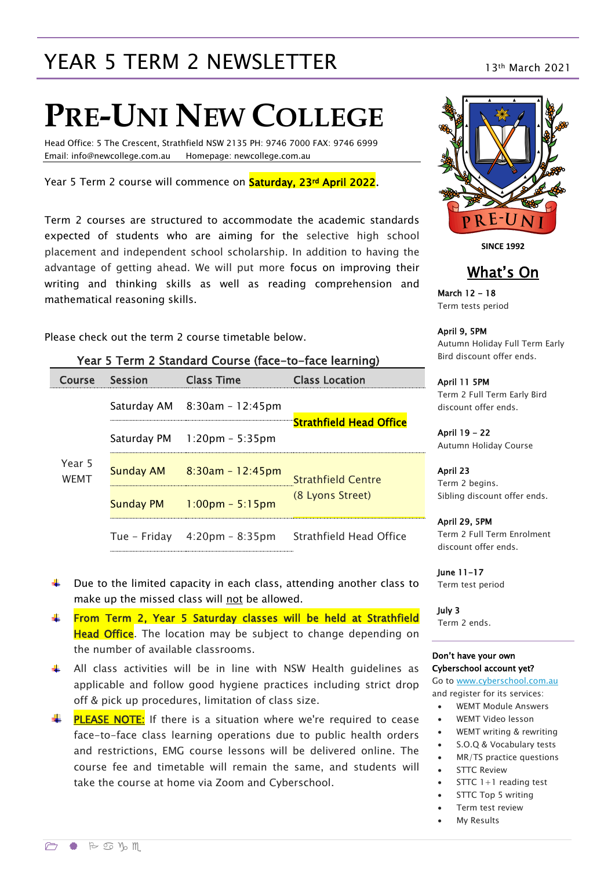# YEAR 5 TERM 2 NEWSLETTER 13th March 2021

# **PRE-UNI NEW COLLEGE**

Head Office: 5 The Crescent, Strathfield NSW 2135 PH: 9746 7000 FAX: 9746 6999 Email: info@newcollege.com.au Homepage: newcollege.com.au

Year 5 Term 2 course will commence on **Saturday, 23<sup>rd</sup> April 2022**.

Term 2 courses are structured to accommodate the academic standards expected of students who are aiming for the selective high school placement and independent school scholarship. In addition to having the advantage of getting ahead. We will put more focus on improving their writing and thinking skills as well as reading comprehension and mathematical reasoning skills.

Please check out the term 2 course timetable below.

| <b>UNITED STATISTICS</b> COMPUTER TO THE TEXT INTERVENTION |                                   |                                                                                                                                                                      |  |  |  |  |
|------------------------------------------------------------|-----------------------------------|----------------------------------------------------------------------------------------------------------------------------------------------------------------------|--|--|--|--|
| <b>Session</b>                                             | <b>Class Time</b>                 | <b>Class Location</b>                                                                                                                                                |  |  |  |  |
|                                                            |                                   |                                                                                                                                                                      |  |  |  |  |
|                                                            |                                   | "Strathfield Head Office                                                                                                                                             |  |  |  |  |
|                                                            |                                   | <b>Strathfield Centre</b>                                                                                                                                            |  |  |  |  |
|                                                            | $1:00 \text{pm} - 5:15 \text{pm}$ | (8 Lyons Street)                                                                                                                                                     |  |  |  |  |
|                                                            |                                   |                                                                                                                                                                      |  |  |  |  |
|                                                            |                                   | Saturday AM $8:30$ am - 12:45pm<br>Saturday PM 1:20pm - 5:35pm<br>Sunday AM $8:30$ am - 12:45pm<br>Sunday PM<br>Tue – Friday 4:20pm – 8:35pm Strathfield Head Office |  |  |  |  |

 $\ddot{\phantom{1}}$  Due to the limited capacity in each class, attending another class to

 $\uparrow$  All class activities will be in line with NSW Health quidelines as applicable and follow good hygiene practices including strict drop

 $\frac{1}{2}$  **PLEASE NOTE:** If there is a situation where we're required to cease face-to-face class learning operations due to public health orders and restrictions, EMG course lessons will be delivered online. The course fee and timetable will remain the same, and students will

From Term 2, Year 5 Saturday classes will be held at Strathfield Head Office. The location may be subject to change depending on

make up the missed class will not be allowed.

off & pick up procedures, limitation of class size.

take the course at home via Zoom and Cyberschool.

the number of available classrooms.

#### Year 5 Term 2 Standard Course (face-to-face learning)



**SINCE 1992**

#### What's On

March 12 - 18 Term tests period

April 9, 5PM

Autumn Holiday Full Term Early Bird discount offer ends.

April 11 5PM Term 2 Full Term Early Bird discount offer ends.

April 19 - 22 Autumn Holiday Course

April 23 Term 2 begins. Sibling discount offer ends.

April 29, 5PM Term 2 Full Term Enrolment discount offer ends.

June 11-17 Term test period

July 3 Term 2 ends.

#### Don't have your own Cyberschool account yet?

Go to [www.cyberschool.com.au](http://www.cyberschool.com.au/) and register for its services:

- WEMT Module Answers
- WEMT Video lesson
- WEMT writing & rewriting
- S.O.Q & Vocabulary tests
- MR/TS practice questions
- STTC Review
- STTC 1+1 reading test
- STTC Top 5 writing
- Term test review
	- My Results

all the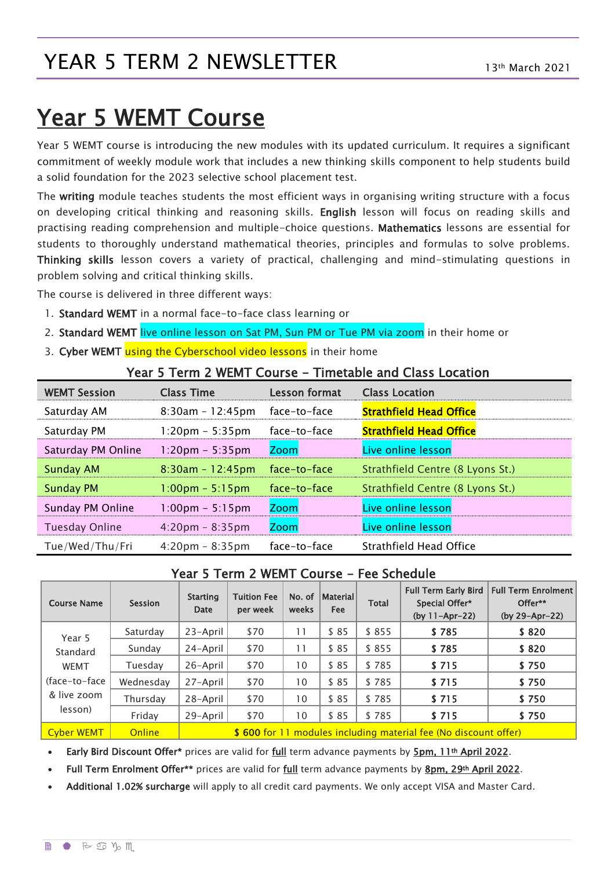## YEAR 5 TERM 2 NEWSLETTER

# Year 5 WEMT Course

Year 5 WEMT course is introducing the new modules with its updated curriculum. It requires a significant commitment of weekly module work that includes a new thinking skills component to help students build a solid foundation for the 2023 selective school placement test.

The writing module teaches students the most efficient ways in organising writing structure with a focus on developing critical thinking and reasoning skills. English lesson will focus on reading skills and practising reading comprehension and multiple-choice questions. Mathematics lessons are essential for students to thoroughly understand mathematical theories, principles and formulas to solve problems. Thinking skills lesson covers a variety of practical, challenging and mind-stimulating questions in problem solving and critical thinking skills.

The course is delivered in three different ways:

- 1. Standard WEMT in a normal face-to-face class learning or
- 2. Standard WEMT live online lesson on Sat PM, Sun PM or Tue PM via zoom in their home or
- 3. Cyber WEMT using the Cyberschool video lessons in their home

|  |  |  |  |  |  |  | Year 5 Term 2 WEMT Course – Timetable and Class Location |  |
|--|--|--|--|--|--|--|----------------------------------------------------------|--|
|--|--|--|--|--|--|--|----------------------------------------------------------|--|

| <b>WEMT Session</b>   | <b>Class Time</b>                 | <b>Lesson format</b> | <b>Class Location</b>            |
|-----------------------|-----------------------------------|----------------------|----------------------------------|
| Saturday AM           | $8:30am - 12:45pm$                | face-to-face         | <b>Strathfield Head Office</b>   |
| Saturday PM           | $1:20 \text{pm} - 5:35 \text{pm}$ | face-to-face         | <b>Strathfield Head Office</b>   |
| Saturday PM Online    | $1:20$ pm – 5:35pm                | <b>Zoom</b>          | Live online lesson               |
| <b>Sunday AM</b>      | $8:30am - 12:45pm$                | face-to-face         | Strathfield Centre (8 Lyons St.) |
| <b>Sunday PM</b>      | $1:00 \text{pm} - 5:15 \text{pm}$ | face-to-face         | Strathfield Centre (8 Lyons St.) |
| Sunday PM Online      | $1:00 \text{pm} - 5:15 \text{pm}$ | Zoom                 | Live online lesson               |
| <b>Tuesday Online</b> | $4:20 \text{pm} - 8:35 \text{pm}$ | <b>Zoom</b>          | Live online lesson               |
| Tue/Wed/Thu/Fri       | $4:20 \text{pm} - 8:35 \text{pm}$ | face-to-face         | Strathfield Head Office          |

#### Year 5 Term 2 WEMT Course - Fee Schedule

| <b>Course Name</b>                                                            | <b>Session</b> | <b>Starting</b><br><b>Date</b>                                  | <b>Tuition Fee</b><br>per week | No. of<br>weeks | Material <br><b>Fee</b> | <b>Total</b> | <b>Full Term Early Bird</b><br>Special Offer*<br>$(by 11-Apr-22)$ | <b>Full Term Enrolment</b><br>Offer**<br>(by 29-Apr-22) |
|-------------------------------------------------------------------------------|----------------|-----------------------------------------------------------------|--------------------------------|-----------------|-------------------------|--------------|-------------------------------------------------------------------|---------------------------------------------------------|
| Year 5<br>Standard<br><b>WEMT</b><br>(face-to-face)<br>& live zoom<br>lesson) | Saturday       | 23-April                                                        | \$70                           | 11              | \$85                    | \$855        | \$785                                                             | \$820                                                   |
|                                                                               | Sunday         | 24-April                                                        | \$70                           | 11              | \$85                    | \$855        | \$785                                                             | \$820                                                   |
|                                                                               | Tuesday        | 26-April                                                        | \$70                           | 10              | \$85                    | \$785        | \$715                                                             | \$750                                                   |
|                                                                               | Wednesday      | 27-April                                                        | \$70                           | 10              | \$85                    | \$785        | \$715                                                             | \$750                                                   |
|                                                                               | Thursday       | 28-April                                                        | \$70                           | 10              | \$85                    | \$785        | \$715                                                             | \$750                                                   |
|                                                                               | Friday         | 29-April                                                        | \$70                           | 10              | \$85                    | \$785        | \$715                                                             | \$750                                                   |
| <b>Cyber WEMT</b>                                                             | <b>Online</b>  | \$600 for 11 modules including material fee (No discount offer) |                                |                 |                         |              |                                                                   |                                                         |

Early Bird Discount Offer\* prices are valid for full term advance payments by 5pm, 11th April 2022.

Full Term Enrolment Offer\*\* prices are valid for full term advance payments by 8pm, 29th April 2022.

Additional 1.02% surcharge will apply to all credit card payments. We only accept VISA and Master Card.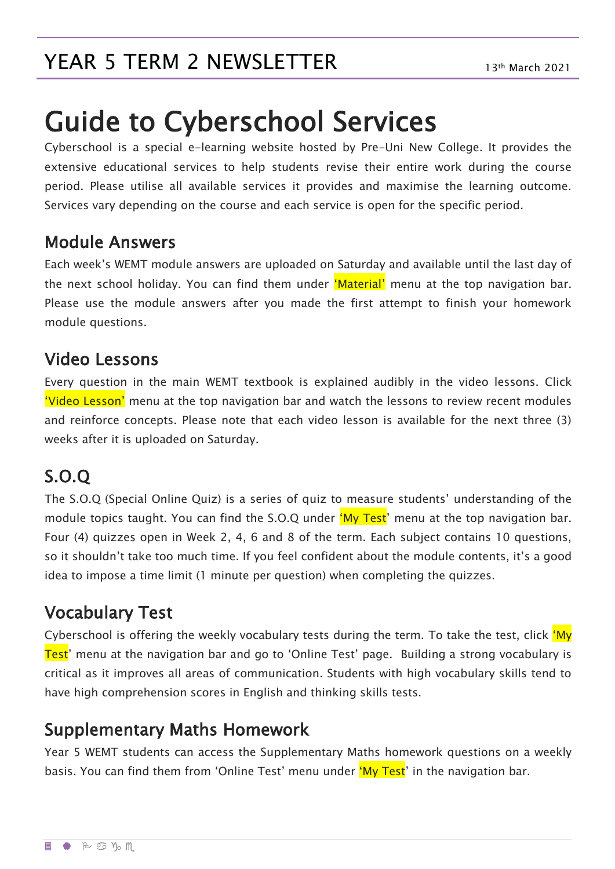# Guide to Cyberschool Services

Cyberschool is a special e-learning website hosted by Pre-Uni New College. It provides the extensive educational services to help students revise their entire work during the course period. Please utilise all available services it provides and maximise the learning outcome. Services vary depending on the course and each service is open for the specific period.

#### Module Answers

Each week's WEMT module answers are uploaded on Saturday and available until the last day of the next school holiday. You can find them under 'Material' menu at the top navigation bar. Please use the module answers after you made the first attempt to finish your homework module questions.

## Video Lessons

Every question in the main WEMT textbook is explained audibly in the video lessons. Click 'Video Lesson' menu at the top navigation bar and watch the lessons to review recent modules and reinforce concepts. Please note that each video lesson is available for the next three (3) weeks after it is uploaded on Saturday.

## S.O.Q

The S.O.Q (Special Online Quiz) is a series of quiz to measure students' understanding of the module topics taught. You can find the S.O.Q under 'My Test' menu at the top navigation bar. Four (4) quizzes open in Week 2, 4, 6 and 8 of the term. Each subject contains 10 questions, so it shouldn't take too much time. If you feel confident about the module contents, it's a good idea to impose a time limit (1 minute per question) when completing the quizzes.

## Vocabulary Test

Cyberschool is offering the weekly vocabulary tests during the term. To take the test, click 'My Test' menu at the navigation bar and go to 'Online Test' page. Building a strong vocabulary is critical as it improves all areas of communication. Students with high vocabulary skills tend to have high comprehension scores in English and thinking skills tests.

#### Supplementary Maths Homework

Year 5 WEMT students can access the Supplementary Maths homework questions on a weekly basis. You can find them from 'Online Test' menu under 'My Test' in the navigation bar.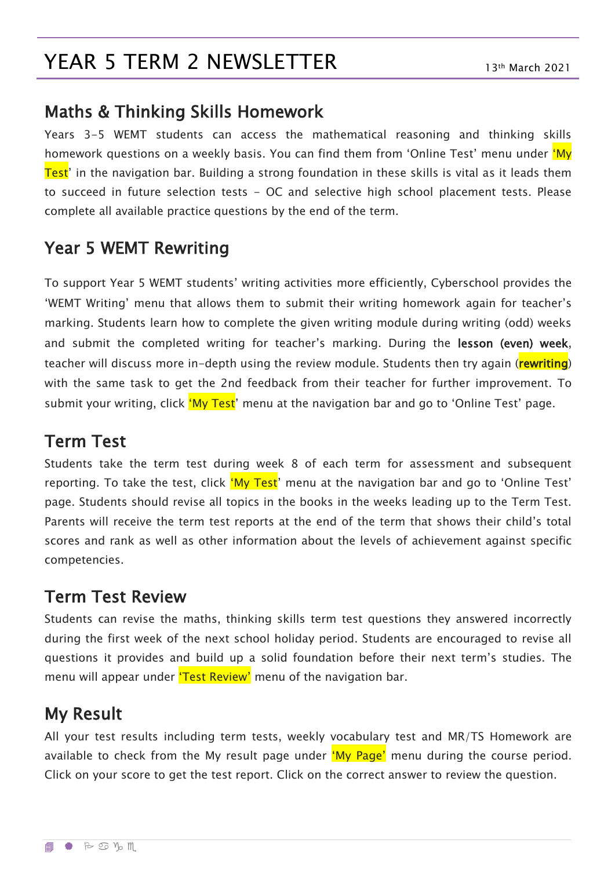## YEAR 5 TERM 2 NEWSLETTER

#### Maths & Thinking Skills Homework

Years 3-5 WEMT students can access the mathematical reasoning and thinking skills homework questions on a weekly basis. You can find them from 'Online Test' menu under 'My Test' in the navigation bar. Building a strong foundation in these skills is vital as it leads them to succeed in future selection tests - OC and selective high school placement tests. Please complete all available practice questions by the end of the term.

## Year 5 WEMT Rewriting

To support Year 5 WEMT students' writing activities more efficiently, Cyberschool provides the 'WEMT Writing' menu that allows them to submit their writing homework again for teacher's marking. Students learn how to complete the given writing module during writing (odd) weeks and submit the completed writing for teacher's marking. During the lesson (even) week, teacher will discuss more in-depth using the review module. Students then try again (rewriting) with the same task to get the 2nd feedback from their teacher for further improvement. To submit your writing, click 'My Test' menu at the navigation bar and go to 'Online Test' page.

#### Term Test

Students take the term test during week 8 of each term for assessment and subsequent reporting. To take the test, click 'My Test' menu at the navigation bar and go to 'Online Test' page. Students should revise all topics in the books in the weeks leading up to the Term Test. Parents will receive the term test reports at the end of the term that shows their child's total scores and rank as well as other information about the levels of achievement against specific competencies.

#### Term Test Review

Students can revise the maths, thinking skills term test questions they answered incorrectly during the first week of the next school holiday period. Students are encouraged to revise all questions it provides and build up a solid foundation before their next term's studies. The menu will appear under 'Test Review' menu of the navigation bar.

#### My Result

All your test results including term tests, weekly vocabulary test and MR/TS Homework are available to check from the My result page under 'My Page' menu during the course period. Click on your score to get the test report. Click on the correct answer to review the question.